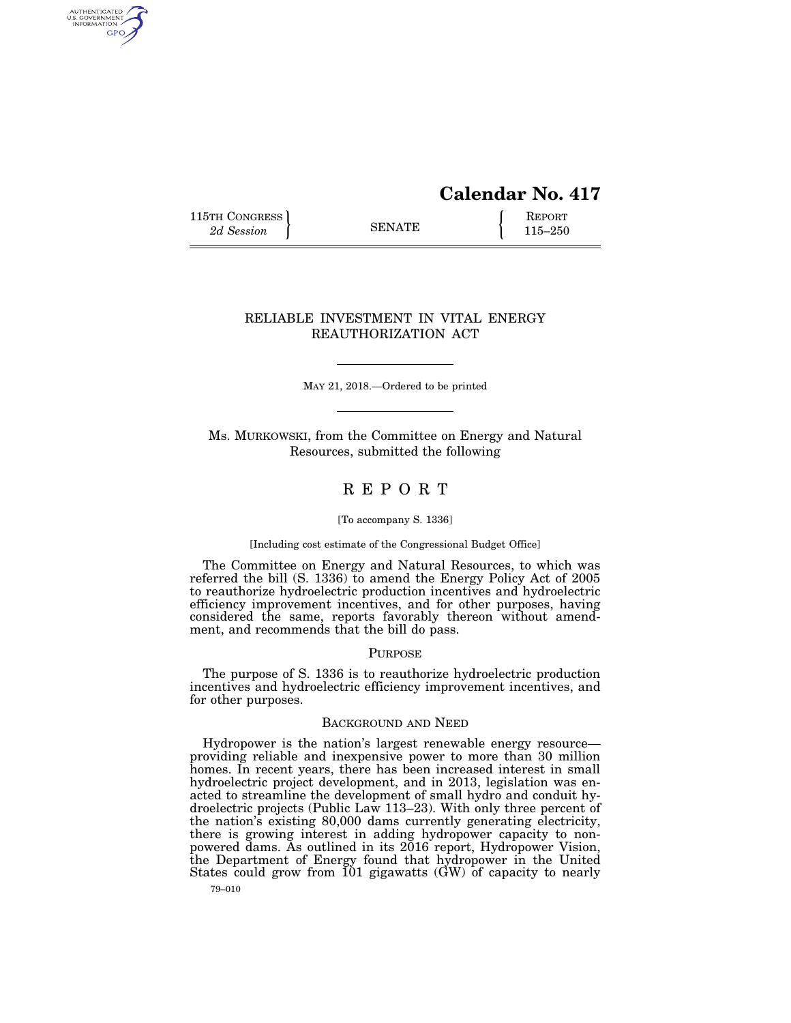# **Calendar No. 417**

115TH CONGRESS **REPORT** 2d Session **115–250** 

AUTHENTICATED<br>U.S. GOVERNMENT<br>INFORMATION GPO

## RELIABLE INVESTMENT IN VITAL ENERGY REAUTHORIZATION ACT

MAY 21, 2018.—Ordered to be printed

Ms. MURKOWSKI, from the Committee on Energy and Natural Resources, submitted the following

## R E P O R T

#### [To accompany S. 1336]

#### [Including cost estimate of the Congressional Budget Office]

The Committee on Energy and Natural Resources, to which was referred the bill (S. 1336) to amend the Energy Policy Act of 2005 to reauthorize hydroelectric production incentives and hydroelectric efficiency improvement incentives, and for other purposes, having considered the same, reports favorably thereon without amendment, and recommends that the bill do pass.

## PURPOSE

The purpose of S. 1336 is to reauthorize hydroelectric production incentives and hydroelectric efficiency improvement incentives, and for other purposes.

## BACKGROUND AND NEED

Hydropower is the nation's largest renewable energy resource providing reliable and inexpensive power to more than 30 million homes. In recent years, there has been increased interest in small hydroelectric project development, and in 2013, legislation was enacted to streamline the development of small hydro and conduit hydroelectric projects (Public Law 113–23). With only three percent of the nation's existing 80,000 dams currently generating electricity, there is growing interest in adding hydropower capacity to nonpowered dams. As outlined in its 2016 report, Hydropower Vision, the Department of Energy found that hydropower in the United States could grow from  $101$  gigawatts  $(\tilde{GW})$  of capacity to nearly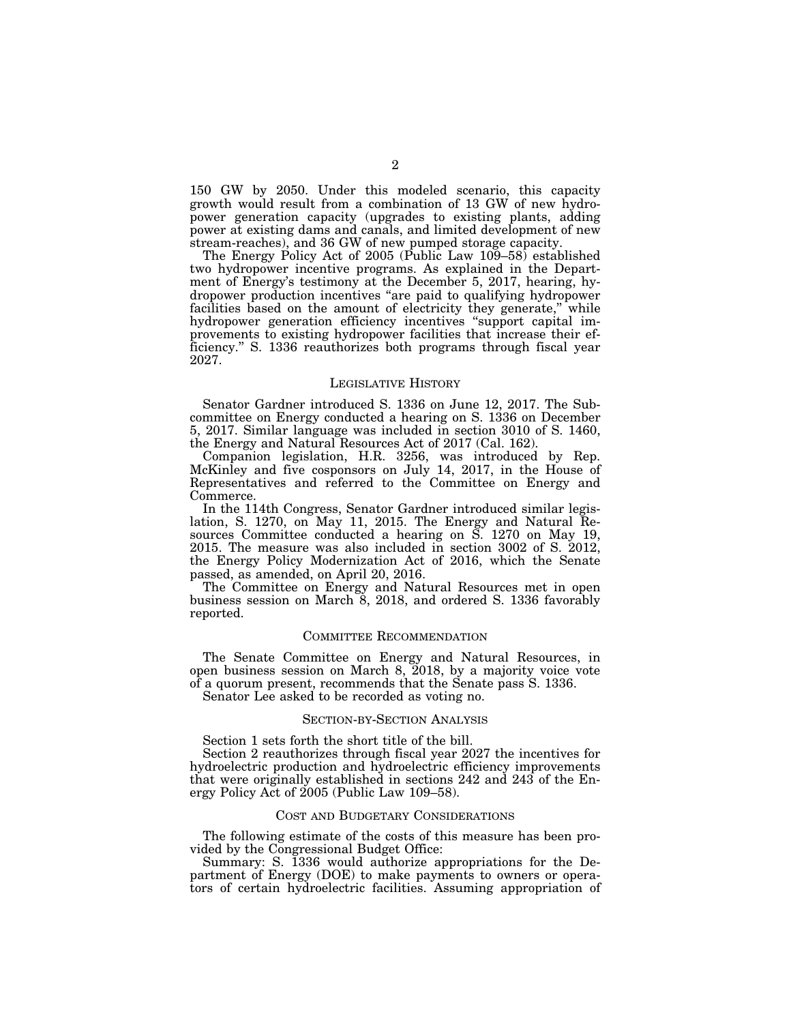150 GW by 2050. Under this modeled scenario, this capacity growth would result from a combination of 13 GW of new hydropower generation capacity (upgrades to existing plants, adding power at existing dams and canals, and limited development of new stream-reaches), and 36 GW of new pumped storage capacity.

The Energy Policy Act of 2005 (Public Law 109–58) established two hydropower incentive programs. As explained in the Department of Energy's testimony at the December 5, 2017, hearing, hydropower production incentives ''are paid to qualifying hydropower facilities based on the amount of electricity they generate," while hydropower generation efficiency incentives ''support capital improvements to existing hydropower facilities that increase their efficiency.'' S. 1336 reauthorizes both programs through fiscal year 2027.

#### LEGISLATIVE HISTORY

Senator Gardner introduced S. 1336 on June 12, 2017. The Subcommittee on Energy conducted a hearing on S. 1336 on December 5, 2017. Similar language was included in section 3010 of S. 1460, the Energy and Natural Resources Act of 2017 (Cal. 162).

Companion legislation, H.R. 3256, was introduced by Rep. McKinley and five cosponsors on July 14, 2017, in the House of Representatives and referred to the Committee on Energy and Commerce.

In the 114th Congress, Senator Gardner introduced similar legislation, S. 1270, on May 11, 2015. The Energy and Natural Resources Committee conducted a hearing on S. 1270 on May 19, 2015. The measure was also included in section 3002 of S. 2012, the Energy Policy Modernization Act of 2016, which the Senate passed, as amended, on April 20, 2016.

The Committee on Energy and Natural Resources met in open business session on March 8, 2018, and ordered S. 1336 favorably reported.

#### COMMITTEE RECOMMENDATION

The Senate Committee on Energy and Natural Resources, in open business session on March 8, 2018, by a majority voice vote of a quorum present, recommends that the Senate pass S. 1336. Senator Lee asked to be recorded as voting no.

## SECTION-BY-SECTION ANALYSIS

Section 1 sets forth the short title of the bill.

Section 2 reauthorizes through fiscal year 2027 the incentives for hydroelectric production and hydroelectric efficiency improvements that were originally established in sections 242 and 243 of the Energy Policy Act of 2005 (Public Law 109–58).

#### COST AND BUDGETARY CONSIDERATIONS

The following estimate of the costs of this measure has been provided by the Congressional Budget Office:

Summary: S. 1336 would authorize appropriations for the Department of Energy (DOE) to make payments to owners or operators of certain hydroelectric facilities. Assuming appropriation of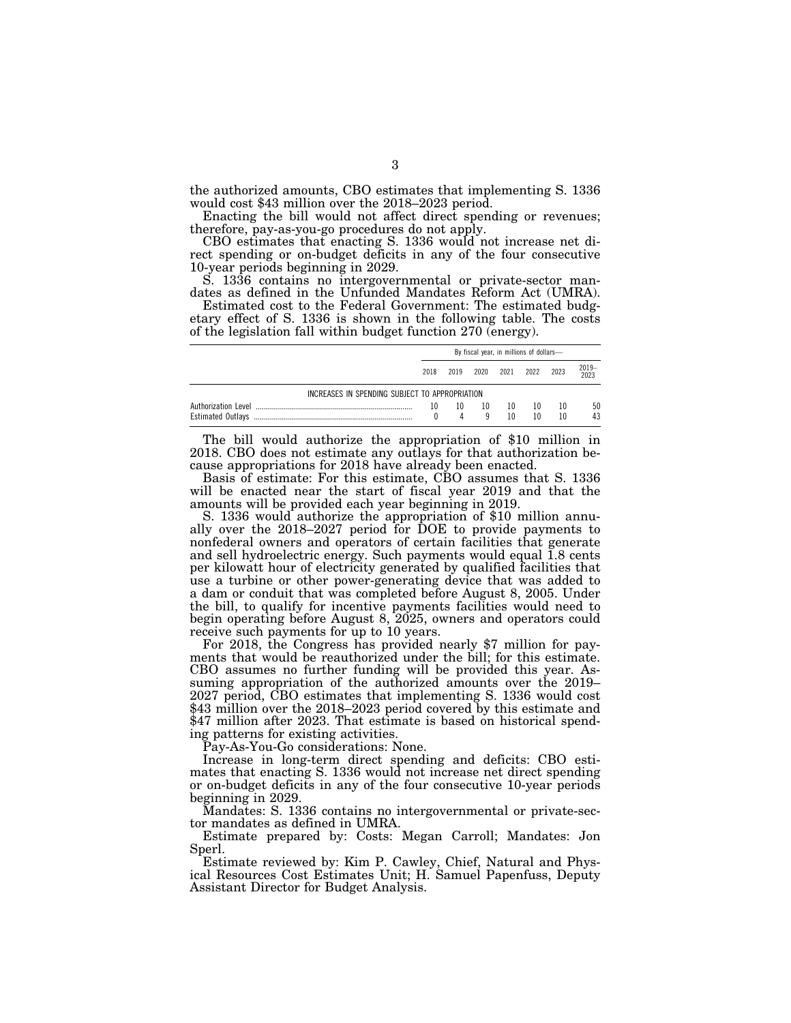the authorized amounts, CBO estimates that implementing S. 1336 would cost \$43 million over the 2018–2023 period.

Enacting the bill would not affect direct spending or revenues; therefore, pay-as-you-go procedures do not apply.

CBO estimates that enacting S. 1336 would not increase net direct spending or on-budget deficits in any of the four consecutive 10-year periods beginning in 2029.

S. 1336 contains no intergovernmental or private-sector mandates as defined in the Unfunded Mandates Reform Act (UMRA).

Estimated cost to the Federal Government: The estimated budgetary effect of S. 1336 is shown in the following table. The costs of the legislation fall within budget function 270 (energy).

|                                                | By fiscal year, in millions of dollars- |      |         |          |          |          |           |
|------------------------------------------------|-----------------------------------------|------|---------|----------|----------|----------|-----------|
|                                                | 2018                                    | 2019 | 2020    | 2021     | 2022     | 2023     | 2019-2023 |
| INCREASES IN SPENDING SUBJECT TO APPROPRIATION |                                         |      |         |          |          |          |           |
| Authorization Level                            | 10                                      | 10   | 10<br>q | 10<br>10 | 10<br>10 | 10<br>10 | 50<br>43  |

The bill would authorize the appropriation of \$10 million in 2018. CBO does not estimate any outlays for that authorization because appropriations for 2018 have already been enacted.

Basis of estimate: For this estimate, CBO assumes that S. 1336 will be enacted near the start of fiscal year 2019 and that the amounts will be provided each year beginning in 2019.

S. 1336 would authorize the appropriation of \$10 million annually over the 2018–2027 period for DOE to provide payments to nonfederal owners and operators of certain facilities that generate and sell hydroelectric energy. Such payments would equal 1.8 cents per kilowatt hour of electricity generated by qualified facilities that use a turbine or other power-generating device that was added to a dam or conduit that was completed before August 8, 2005. Under the bill, to qualify for incentive payments facilities would need to begin operating before August 8, 2025, owners and operators could

receive such payments for up to 10 years. For 2018, the Congress has provided nearly \$7 million for payments that would be reauthorized under the bill; for this estimate. CBO assumes no further funding will be provided this year. Assuming appropriation of the authorized amounts over the 2019– 2027 period, CBO estimates that implementing S. 1336 would cost \$43 million over the 2018–2023 period covered by this estimate and \$47 million after 2023. That estimate is based on historical spending patterns for existing activities.

Pay-As-You-Go considerations: None.

Increase in long-term direct spending and deficits: CBO estimates that enacting S. 1336 would not increase net direct spending or on-budget deficits in any of the four consecutive 10-year periods beginning in 2029.

Mandates: S. 1336 contains no intergovernmental or private-sector mandates as defined in UMRA.

Estimate prepared by: Costs: Megan Carroll; Mandates: Jon Sperl.

Estimate reviewed by: Kim P. Cawley, Chief, Natural and Physical Resources Cost Estimates Unit; H. Samuel Papenfuss, Deputy Assistant Director for Budget Analysis.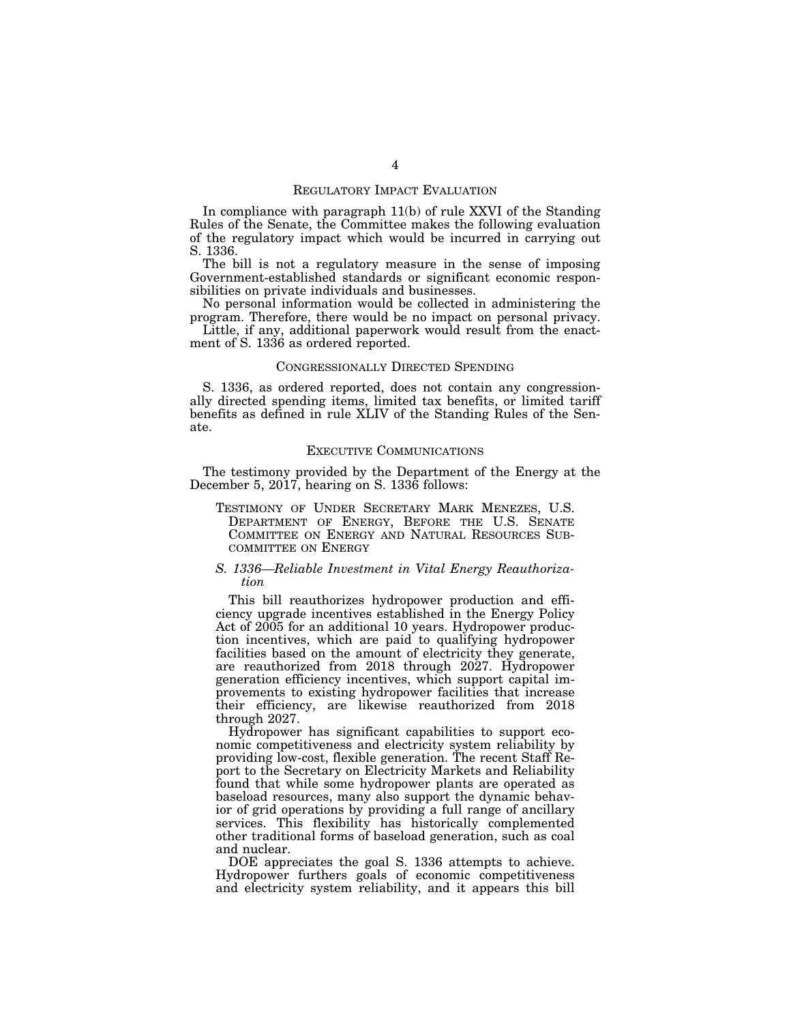### REGULATORY IMPACT EVALUATION

In compliance with paragraph 11(b) of rule XXVI of the Standing Rules of the Senate, the Committee makes the following evaluation of the regulatory impact which would be incurred in carrying out S. 1336.

The bill is not a regulatory measure in the sense of imposing Government-established standards or significant economic responsibilities on private individuals and businesses.

No personal information would be collected in administering the program. Therefore, there would be no impact on personal privacy.

Little, if any, additional paperwork would result from the enactment of S. 1336 as ordered reported.

#### CONGRESSIONALLY DIRECTED SPENDING

S. 1336, as ordered reported, does not contain any congressionally directed spending items, limited tax benefits, or limited tariff benefits as defined in rule XLIV of the Standing Rules of the Senate.

#### EXECUTIVE COMMUNICATIONS

The testimony provided by the Department of the Energy at the December 5, 2017, hearing on S. 1336 follows:

TESTIMONY OF UNDER SECRETARY MARK MENEZES, U.S. DEPARTMENT OF ENERGY, BEFORE THE U.S. SENATE COMMITTEE ON ENERGY AND NATURAL RESOURCES SUB-COMMITTEE ON ENERGY

## *S. 1336—Reliable Investment in Vital Energy Reauthorization*

This bill reauthorizes hydropower production and efficiency upgrade incentives established in the Energy Policy Act of 2005 for an additional 10 years. Hydropower production incentives, which are paid to qualifying hydropower facilities based on the amount of electricity they generate, are reauthorized from 2018 through 2027. Hydropower generation efficiency incentives, which support capital improvements to existing hydropower facilities that increase their efficiency, are likewise reauthorized from 2018 through 2027.

Hydropower has significant capabilities to support economic competitiveness and electricity system reliability by providing low-cost, flexible generation. The recent Staff Report to the Secretary on Electricity Markets and Reliability found that while some hydropower plants are operated as baseload resources, many also support the dynamic behavior of grid operations by providing a full range of ancillary services. This flexibility has historically complemented other traditional forms of baseload generation, such as coal and nuclear.

DOE appreciates the goal S. 1336 attempts to achieve. Hydropower furthers goals of economic competitiveness and electricity system reliability, and it appears this bill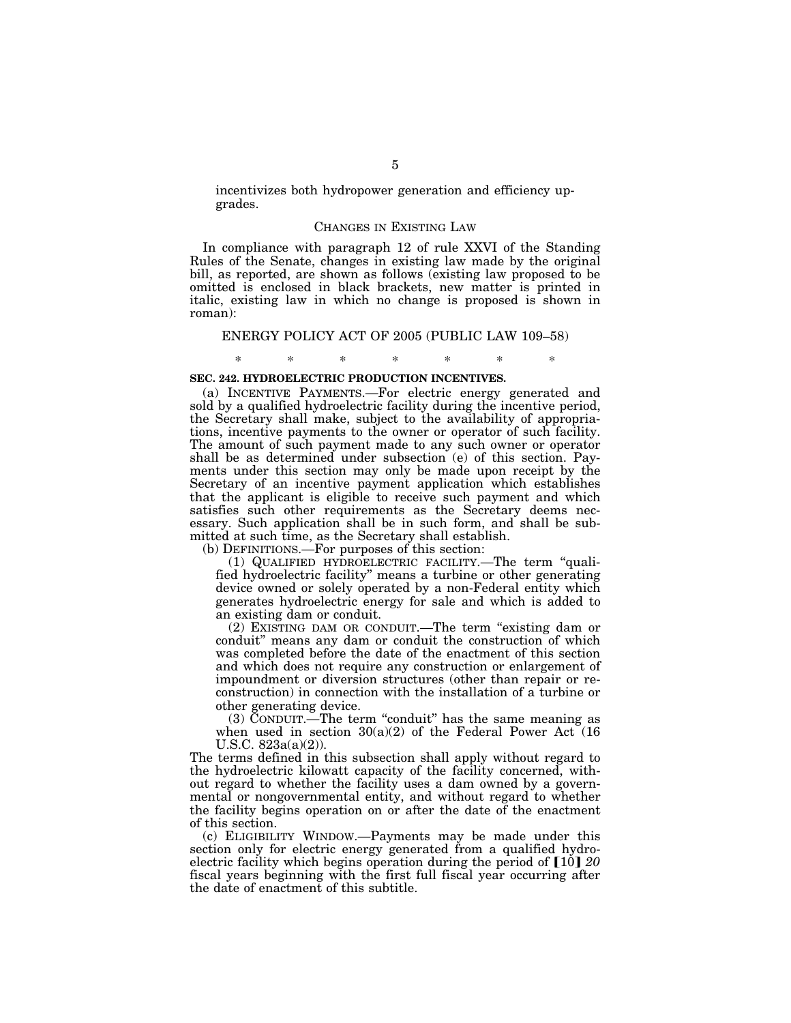incentivizes both hydropower generation and efficiency upgrades.

#### CHANGES IN EXISTING LAW

In compliance with paragraph 12 of rule XXVI of the Standing Rules of the Senate, changes in existing law made by the original bill, as reported, are shown as follows (existing law proposed to be omitted is enclosed in black brackets, new matter is printed in italic, existing law in which no change is proposed is shown in roman):

#### ENERGY POLICY ACT OF 2005 (PUBLIC LAW 109–58)

\* \* \* \* \* \* \*

## **SEC. 242. HYDROELECTRIC PRODUCTION INCENTIVES.**

(a) INCENTIVE PAYMENTS.—For electric energy generated and sold by a qualified hydroelectric facility during the incentive period, the Secretary shall make, subject to the availability of appropriations, incentive payments to the owner or operator of such facility. The amount of such payment made to any such owner or operator shall be as determined under subsection (e) of this section. Payments under this section may only be made upon receipt by the Secretary of an incentive payment application which establishes that the applicant is eligible to receive such payment and which satisfies such other requirements as the Secretary deems necessary. Such application shall be in such form, and shall be submitted at such time, as the Secretary shall establish.

(b) DEFINITIONS.—For purposes of this section:

(1) QUALIFIED HYDROELECTRIC FACILITY.—The term ''qualified hydroelectric facility'' means a turbine or other generating device owned or solely operated by a non-Federal entity which generates hydroelectric energy for sale and which is added to an existing dam or conduit.

(2) EXISTING DAM OR CONDUIT.—The term ''existing dam or conduit'' means any dam or conduit the construction of which was completed before the date of the enactment of this section and which does not require any construction or enlargement of impoundment or diversion structures (other than repair or reconstruction) in connection with the installation of a turbine or other generating device.

 $(3)$  CONDUIT.—The term "conduit" has the same meaning as when used in section  $30(a)(2)$  of the Federal Power Act  $(16)$ U.S.C. 823a(a)(2)).

The terms defined in this subsection shall apply without regard to the hydroelectric kilowatt capacity of the facility concerned, without regard to whether the facility uses a dam owned by a governmental or nongovernmental entity, and without regard to whether the facility begins operation on or after the date of the enactment of this section.

(c) ELIGIBILITY WINDOW.—Payments may be made under this section only for electric energy generated from a qualified hydroelectric facility which begins operation during the period of [10] 20 fiscal years beginning with the first full fiscal year occurring after the date of enactment of this subtitle.